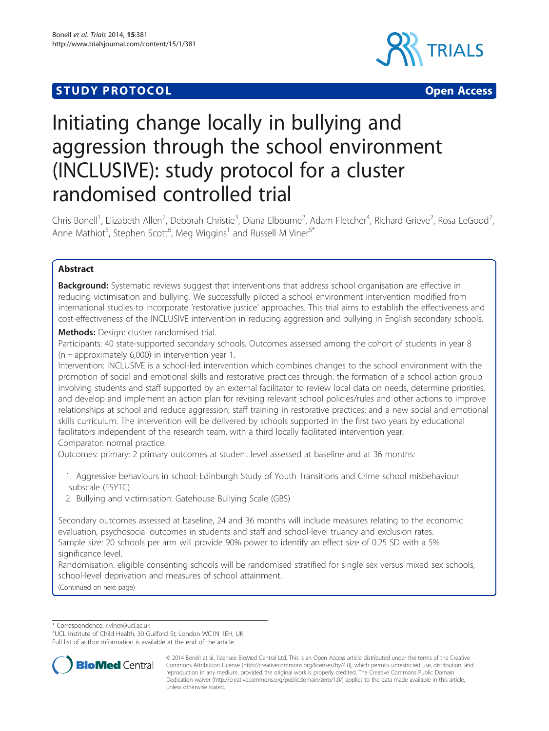# **STUDY PROTOCOL CONSUMING THE CONSUMING OPEN ACCESS**





# Initiating change locally in bullying and aggression through the school environment (INCLUSIVE): study protocol for a cluster randomised controlled trial

Chris Bonell<sup>1</sup>, Elizabeth Allen<sup>2</sup>, Deborah Christie<sup>3</sup>, Diana Elbourne<sup>2</sup>, Adam Fletcher<sup>4</sup>, Richard Grieve<sup>2</sup>, Rosa LeGood<sup>2</sup> , Anne Mathiot<sup>5</sup>, Stephen Scott<sup>6</sup>, Meg Wiggins<sup>1</sup> and Russell M Viner<sup>5\*</sup>

# Abstract

Background: Systematic reviews suggest that interventions that address school organisation are effective in reducing victimisation and bullying. We successfully piloted a school environment intervention modified from international studies to incorporate 'restorative justice' approaches. This trial aims to establish the effectiveness and cost-effectiveness of the INCLUSIVE intervention in reducing aggression and bullying in English secondary schools.

Methods: Design: cluster randomised trial.

Participants: 40 state-supported secondary schools. Outcomes assessed among the cohort of students in year 8  $(n =$  approximately 6,000) in intervention year 1.

Intervention: INCLUSIVE is a school-led intervention which combines changes to the school environment with the promotion of social and emotional skills and restorative practices through: the formation of a school action group involving students and staff supported by an external facilitator to review local data on needs, determine priorities, and develop and implement an action plan for revising relevant school policies/rules and other actions to improve relationships at school and reduce aggression; staff training in restorative practices; and a new social and emotional skills curriculum. The intervention will be delivered by schools supported in the first two years by educational facilitators independent of the research team, with a third locally facilitated intervention year. Comparator: normal practice.

Outcomes: primary: 2 primary outcomes at student level assessed at baseline and at 36 months:

- 1. Aggressive behaviours in school: Edinburgh Study of Youth Transitions and Crime school misbehaviour subscale (ESYTC)
- 2. Bullying and victimisation: Gatehouse Bullying Scale (GBS)

Secondary outcomes assessed at baseline, 24 and 36 months will include measures relating to the economic evaluation, psychosocial outcomes in students and staff and school-level truancy and exclusion rates. Sample size: 20 schools per arm will provide 90% power to identify an effect size of 0.25 SD with a 5% significance level.

Randomisation: eligible consenting schools will be randomised stratified for single sex versus mixed sex schools, school-level deprivation and measures of school attainment.

(Continued on next page)

\* Correspondence: [r.viner@ucl.ac.uk](mailto:r.viner@ucl.ac.uk) <sup>5</sup>

Full list of author information is available at the end of the article



<sup>© 2014</sup> Bonell et al.; licensee BioMed Central Ltd. This is an Open Access article distributed under the terms of the Creative Commons Attribution License [\(http://creativecommons.org/licenses/by/4.0\)](http://creativecommons.org/licenses/by/4.0), which permits unrestricted use, distribution, and reproduction in any medium, provided the original work is properly credited. The Creative Commons Public Domain Dedication waiver [\(http://creativecommons.org/publicdomain/zero/1.0/](http://creativecommons.org/publicdomain/zero/1.0/)) applies to the data made available in this article, unless otherwise stated.

<sup>&</sup>lt;sup>5</sup>UCL Institute of Child Health, 30 Guilford St, London WC1N 1EH, UK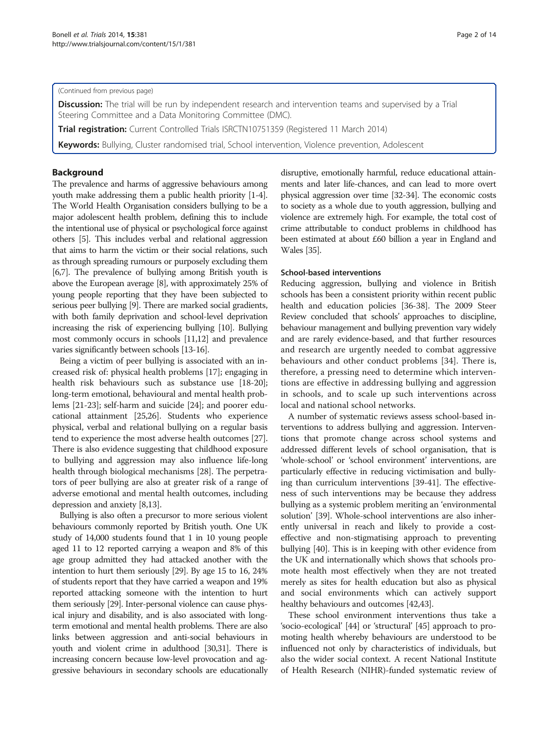#### (Continued from previous page)

Discussion: The trial will be run by independent research and intervention teams and supervised by a Trial Steering Committee and a Data Monitoring Committee (DMC).

Trial registration: Current Controlled Trials [ISRCTN10751359](http://www.controlled-trials.com/ISRCTN10751359) (Registered 11 March 2014)

Keywords: Bullying, Cluster randomised trial, School intervention, Violence prevention, Adolescent

#### **Background**

The prevalence and harms of aggressive behaviours among youth make addressing them a public health priority [[1](#page-12-0)-[4](#page-12-0)]. The World Health Organisation considers bullying to be a major adolescent health problem, defining this to include the intentional use of physical or psychological force against others [[5](#page-12-0)]. This includes verbal and relational aggression that aims to harm the victim or their social relations, such as through spreading rumours or purposely excluding them [[6,7](#page-12-0)]. The prevalence of bullying among British youth is above the European average [[8](#page-12-0)], with approximately 25% of young people reporting that they have been subjected to serious peer bullying [\[9\]](#page-12-0). There are marked social gradients, with both family deprivation and school-level deprivation increasing the risk of experiencing bullying [\[10](#page-12-0)]. Bullying most commonly occurs in schools [[11,12](#page-12-0)] and prevalence varies significantly between schools [[13](#page-12-0)-[16](#page-12-0)].

Being a victim of peer bullying is associated with an increased risk of: physical health problems [\[17\]](#page-12-0); engaging in health risk behaviours such as substance use [[18](#page-12-0)-[20](#page-12-0)]; long-term emotional, behavioural and mental health problems [[21](#page-12-0)-[23](#page-12-0)]; self-harm and suicide [\[24\]](#page-12-0); and poorer educational attainment [\[25,26\]](#page-12-0). Students who experience physical, verbal and relational bullying on a regular basis tend to experience the most adverse health outcomes [[27](#page-12-0)]. There is also evidence suggesting that childhood exposure to bullying and aggression may also influence life-long health through biological mechanisms [[28](#page-12-0)]. The perpetrators of peer bullying are also at greater risk of a range of adverse emotional and mental health outcomes, including depression and anxiety [[8,13](#page-12-0)].

Bullying is also often a precursor to more serious violent behaviours commonly reported by British youth. One UK study of 14,000 students found that 1 in 10 young people aged 11 to 12 reported carrying a weapon and 8% of this age group admitted they had attacked another with the intention to hurt them seriously [[29](#page-12-0)]. By age 15 to 16, 24% of students report that they have carried a weapon and 19% reported attacking someone with the intention to hurt them seriously [\[29\]](#page-12-0). Inter-personal violence can cause physical injury and disability, and is also associated with longterm emotional and mental health problems. There are also links between aggression and anti-social behaviours in youth and violent crime in adulthood [[30,31](#page-12-0)]. There is increasing concern because low-level provocation and aggressive behaviours in secondary schools are educationally disruptive, emotionally harmful, reduce educational attainments and later life-chances, and can lead to more overt physical aggression over time [[32](#page-12-0)-[34\]](#page-12-0). The economic costs to society as a whole due to youth aggression, bullying and violence are extremely high. For example, the total cost of crime attributable to conduct problems in childhood has been estimated at about £60 billion a year in England and Wales [\[35\]](#page-12-0).

#### School-based interventions

Reducing aggression, bullying and violence in British schools has been a consistent priority within recent public health and education policies [[36](#page-12-0)-[38](#page-12-0)]. The 2009 Steer Review concluded that schools' approaches to discipline, behaviour management and bullying prevention vary widely and are rarely evidence-based, and that further resources and research are urgently needed to combat aggressive behaviours and other conduct problems [[34\]](#page-12-0). There is, therefore, a pressing need to determine which interventions are effective in addressing bullying and aggression in schools, and to scale up such interventions across local and national school networks.

A number of systematic reviews assess school-based interventions to address bullying and aggression. Interventions that promote change across school systems and addressed different levels of school organisation, that is 'whole-school' or 'school environment' interventions, are particularly effective in reducing victimisation and bullying than curriculum interventions [[39](#page-12-0)-[41](#page-12-0)]. The effectiveness of such interventions may be because they address bullying as a systemic problem meriting an 'environmental solution' [\[39](#page-12-0)]. Whole-school interventions are also inherently universal in reach and likely to provide a costeffective and non-stigmatising approach to preventing bullying [[40\]](#page-12-0). This is in keeping with other evidence from the UK and internationally which shows that schools promote health most effectively when they are not treated merely as sites for health education but also as physical and social environments which can actively support healthy behaviours and outcomes [\[42,43](#page-12-0)].

These school environment interventions thus take a 'socio-ecological' [[44](#page-13-0)] or 'structural' [[45](#page-13-0)] approach to promoting health whereby behaviours are understood to be influenced not only by characteristics of individuals, but also the wider social context. A recent National Institute of Health Research (NIHR)-funded systematic review of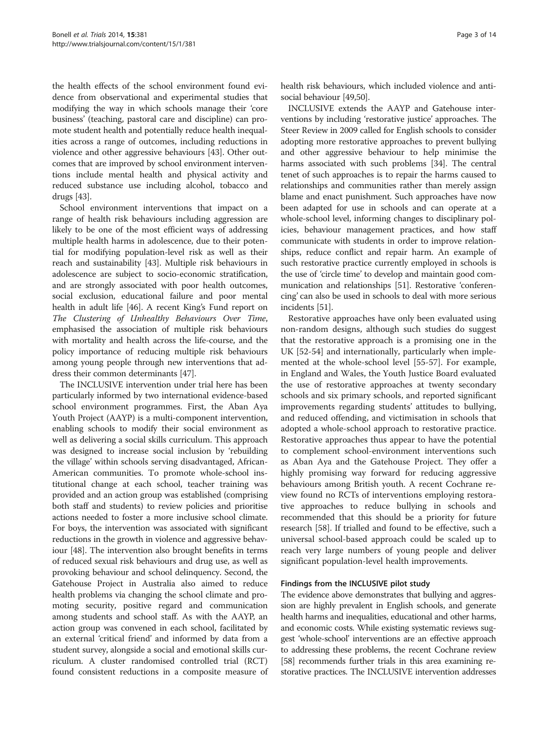the health effects of the school environment found evidence from observational and experimental studies that modifying the way in which schools manage their 'core business' (teaching, pastoral care and discipline) can promote student health and potentially reduce health inequalities across a range of outcomes, including reductions in violence and other aggressive behaviours [[43](#page-12-0)]. Other outcomes that are improved by school environment interventions include mental health and physical activity and reduced substance use including alcohol, tobacco and drugs [[43](#page-12-0)].

School environment interventions that impact on a range of health risk behaviours including aggression are likely to be one of the most efficient ways of addressing multiple health harms in adolescence, due to their potential for modifying population-level risk as well as their reach and sustainability [\[43\]](#page-12-0). Multiple risk behaviours in adolescence are subject to socio-economic stratification, and are strongly associated with poor health outcomes, social exclusion, educational failure and poor mental health in adult life [\[46\]](#page-13-0). A recent King's Fund report on The Clustering of Unhealthy Behaviours Over Time, emphasised the association of multiple risk behaviours with mortality and health across the life-course, and the policy importance of reducing multiple risk behaviours among young people through new interventions that address their common determinants [\[47\]](#page-13-0).

The INCLUSIVE intervention under trial here has been particularly informed by two international evidence-based school environment programmes. First, the Aban Aya Youth Project (AAYP) is a multi-component intervention, enabling schools to modify their social environment as well as delivering a social skills curriculum. This approach was designed to increase social inclusion by 'rebuilding the village' within schools serving disadvantaged, African-American communities. To promote whole-school institutional change at each school, teacher training was provided and an action group was established (comprising both staff and students) to review policies and prioritise actions needed to foster a more inclusive school climate. For boys, the intervention was associated with significant reductions in the growth in violence and aggressive behaviour [\[48\]](#page-13-0). The intervention also brought benefits in terms of reduced sexual risk behaviours and drug use, as well as provoking behaviour and school delinquency. Second, the Gatehouse Project in Australia also aimed to reduce health problems via changing the school climate and promoting security, positive regard and communication among students and school staff. As with the AAYP, an action group was convened in each school, facilitated by an external 'critical friend' and informed by data from a student survey, alongside a social and emotional skills curriculum. A cluster randomised controlled trial (RCT) found consistent reductions in a composite measure of health risk behaviours, which included violence and antisocial behaviour [[49](#page-13-0),[50](#page-13-0)].

INCLUSIVE extends the AAYP and Gatehouse interventions by including 'restorative justice' approaches. The Steer Review in 2009 called for English schools to consider adopting more restorative approaches to prevent bullying and other aggressive behaviour to help minimise the harms associated with such problems [[34](#page-12-0)]. The central tenet of such approaches is to repair the harms caused to relationships and communities rather than merely assign blame and enact punishment. Such approaches have now been adapted for use in schools and can operate at a whole-school level, informing changes to disciplinary policies, behaviour management practices, and how staff communicate with students in order to improve relationships, reduce conflict and repair harm. An example of such restorative practice currently employed in schools is the use of 'circle time' to develop and maintain good communication and relationships [\[51](#page-13-0)]. Restorative 'conferencing' can also be used in schools to deal with more serious incidents [[51](#page-13-0)].

Restorative approaches have only been evaluated using non-random designs, although such studies do suggest that the restorative approach is a promising one in the UK [[52-54](#page-13-0)] and internationally, particularly when implemented at the whole-school level [[55-57](#page-13-0)]. For example, in England and Wales, the Youth Justice Board evaluated the use of restorative approaches at twenty secondary schools and six primary schools, and reported significant improvements regarding students' attitudes to bullying, and reduced offending, and victimisation in schools that adopted a whole-school approach to restorative practice. Restorative approaches thus appear to have the potential to complement school-environment interventions such as Aban Aya and the Gatehouse Project. They offer a highly promising way forward for reducing aggressive behaviours among British youth. A recent Cochrane review found no RCTs of interventions employing restorative approaches to reduce bullying in schools and recommended that this should be a priority for future research [\[58\]](#page-13-0). If trialled and found to be effective, such a universal school-based approach could be scaled up to reach very large numbers of young people and deliver significant population-level health improvements.

#### Findings from the INCLUSIVE pilot study

The evidence above demonstrates that bullying and aggression are highly prevalent in English schools, and generate health harms and inequalities, educational and other harms, and economic costs. While existing systematic reviews suggest 'whole-school' interventions are an effective approach to addressing these problems, the recent Cochrane review [[58](#page-13-0)] recommends further trials in this area examining restorative practices. The INCLUSIVE intervention addresses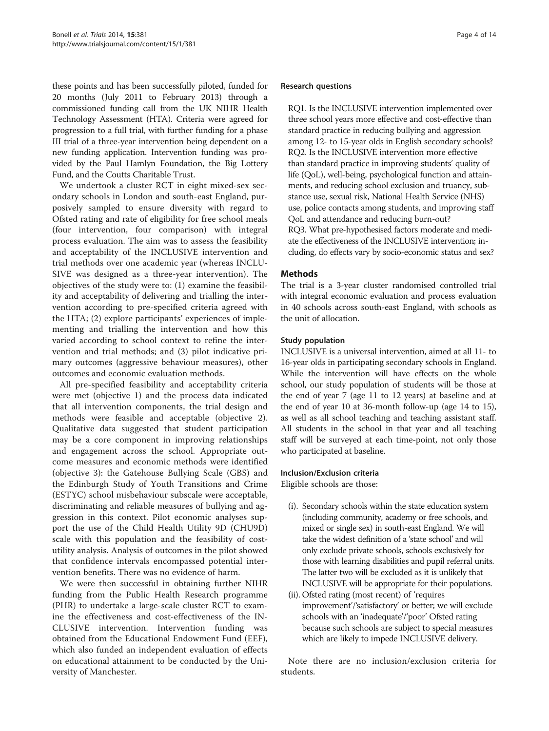these points and has been successfully piloted, funded for 20 months (July 2011 to February 2013) through a commissioned funding call from the UK NIHR Health Technology Assessment (HTA). Criteria were agreed for progression to a full trial, with further funding for a phase III trial of a three-year intervention being dependent on a new funding application. Intervention funding was provided by the Paul Hamlyn Foundation, the Big Lottery Fund, and the Coutts Charitable Trust.

We undertook a cluster RCT in eight mixed-sex secondary schools in London and south-east England, purposively sampled to ensure diversity with regard to Ofsted rating and rate of eligibility for free school meals (four intervention, four comparison) with integral process evaluation. The aim was to assess the feasibility and acceptability of the INCLUSIVE intervention and trial methods over one academic year (whereas INCLU-SIVE was designed as a three-year intervention). The objectives of the study were to: (1) examine the feasibility and acceptability of delivering and trialling the intervention according to pre-specified criteria agreed with the HTA; (2) explore participants' experiences of implementing and trialling the intervention and how this varied according to school context to refine the intervention and trial methods; and (3) pilot indicative primary outcomes (aggressive behaviour measures), other outcomes and economic evaluation methods.

All pre-specified feasibility and acceptability criteria were met (objective 1) and the process data indicated that all intervention components, the trial design and methods were feasible and acceptable (objective 2). Qualitative data suggested that student participation may be a core component in improving relationships and engagement across the school. Appropriate outcome measures and economic methods were identified (objective 3): the Gatehouse Bullying Scale (GBS) and the Edinburgh Study of Youth Transitions and Crime (ESTYC) school misbehaviour subscale were acceptable, discriminating and reliable measures of bullying and aggression in this context. Pilot economic analyses support the use of the Child Health Utility 9D (CHU9D) scale with this population and the feasibility of costutility analysis. Analysis of outcomes in the pilot showed that confidence intervals encompassed potential intervention benefits. There was no evidence of harm.

We were then successful in obtaining further NIHR funding from the Public Health Research programme (PHR) to undertake a large-scale cluster RCT to examine the effectiveness and cost-effectiveness of the IN-CLUSIVE intervention. Intervention funding was obtained from the Educational Endowment Fund (EEF), which also funded an independent evaluation of effects on educational attainment to be conducted by the University of Manchester.

#### Research questions

RQ1. Is the INCLUSIVE intervention implemented over three school years more effective and cost-effective than standard practice in reducing bullying and aggression among 12- to 15-year olds in English secondary schools? RQ2. Is the INCLUSIVE intervention more effective than standard practice in improving students' quality of life (QoL), well-being, psychological function and attainments, and reducing school exclusion and truancy, substance use, sexual risk, National Health Service (NHS) use, police contacts among students, and improving staff QoL and attendance and reducing burn-out? RQ3. What pre-hypothesised factors moderate and mediate the effectiveness of the INCLUSIVE intervention; including, do effects vary by socio-economic status and sex?

# **Mathods**

The trial is a 3-year cluster randomised controlled trial with integral economic evaluation and process evaluation in 40 schools across south-east England, with schools as the unit of allocation.

# Study population

INCLUSIVE is a universal intervention, aimed at all 11- to 16-year olds in participating secondary schools in England. While the intervention will have effects on the whole school, our study population of students will be those at the end of year 7 (age 11 to 12 years) at baseline and at the end of year 10 at 36-month follow-up (age 14 to 15), as well as all school teaching and teaching assistant staff. All students in the school in that year and all teaching staff will be surveyed at each time-point, not only those who participated at baseline.

#### Inclusion/Exclusion criteria

Eligible schools are those:

- (i). Secondary schools within the state education system (including community, academy or free schools, and mixed or single sex) in south-east England. We will take the widest definition of a 'state school' and will only exclude private schools, schools exclusively for those with learning disabilities and pupil referral units. The latter two will be excluded as it is unlikely that INCLUSIVE will be appropriate for their populations.
- (ii). Ofsted rating (most recent) of 'requires improvement'/'satisfactory' or better; we will exclude schools with an 'inadequate'/'poor' Ofsted rating because such schools are subject to special measures which are likely to impede INCLUSIVE delivery.

Note there are no inclusion/exclusion criteria for students.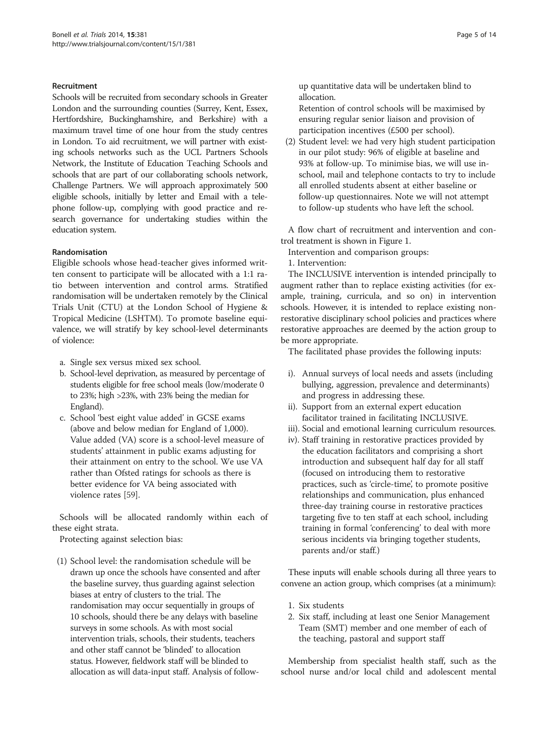#### Recruitment

Schools will be recruited from secondary schools in Greater London and the surrounding counties (Surrey, Kent, Essex, Hertfordshire, Buckinghamshire, and Berkshire) with a maximum travel time of one hour from the study centres in London. To aid recruitment, we will partner with existing schools networks such as the UCL Partners Schools Network, the Institute of Education Teaching Schools and schools that are part of our collaborating schools network, Challenge Partners. We will approach approximately 500 eligible schools, initially by letter and Email with a telephone follow-up, complying with good practice and research governance for undertaking studies within the education system.

#### Randomisation

Eligible schools whose head-teacher gives informed written consent to participate will be allocated with a 1:1 ratio between intervention and control arms. Stratified randomisation will be undertaken remotely by the Clinical Trials Unit (CTU) at the London School of Hygiene & Tropical Medicine (LSHTM). To promote baseline equivalence, we will stratify by key school-level determinants of violence:

- a. Single sex versus mixed sex school.
- b. School-level deprivation, as measured by percentage of students eligible for free school meals (low/moderate 0 to 23%; high >23%, with 23% being the median for England).
- c. School 'best eight value added' in GCSE exams (above and below median for England of 1,000). Value added (VA) score is a school-level measure of students' attainment in public exams adjusting for their attainment on entry to the school. We use VA rather than Ofsted ratings for schools as there is better evidence for VA being associated with violence rates [\[59\]](#page-13-0).

Schools will be allocated randomly within each of these eight strata.

Protecting against selection bias:

(1) School level: the randomisation schedule will be drawn up once the schools have consented and after the baseline survey, thus guarding against selection biases at entry of clusters to the trial. The randomisation may occur sequentially in groups of 10 schools, should there be any delays with baseline surveys in some schools. As with most social intervention trials, schools, their students, teachers and other staff cannot be 'blinded' to allocation status. However, fieldwork staff will be blinded to allocation as will data-input staff. Analysis of follow-

up quantitative data will be undertaken blind to allocation.

Retention of control schools will be maximised by ensuring regular senior liaison and provision of participation incentives (£500 per school).

(2) Student level: we had very high student participation in our pilot study: 96% of eligible at baseline and 93% at follow-up. To minimise bias, we will use inschool, mail and telephone contacts to try to include all enrolled students absent at either baseline or follow-up questionnaires. Note we will not attempt to follow-up students who have left the school.

A flow chart of recruitment and intervention and control treatment is shown in Figure [1](#page-5-0).

Intervention and comparison groups:

1. Intervention:

The INCLUSIVE intervention is intended principally to augment rather than to replace existing activities (for example, training, curricula, and so on) in intervention schools. However, it is intended to replace existing nonrestorative disciplinary school policies and practices where restorative approaches are deemed by the action group to be more appropriate.

The facilitated phase provides the following inputs:

- i). Annual surveys of local needs and assets (including bullying, aggression, prevalence and determinants) and progress in addressing these.
- ii). Support from an external expert education facilitator trained in facilitating INCLUSIVE.
- iii). Social and emotional learning curriculum resources.
- iv). Staff training in restorative practices provided by the education facilitators and comprising a short introduction and subsequent half day for all staff (focused on introducing them to restorative practices, such as 'circle-time', to promote positive relationships and communication, plus enhanced three-day training course in restorative practices targeting five to ten staff at each school, including training in formal 'conferencing' to deal with more serious incidents via bringing together students, parents and/or staff.)

These inputs will enable schools during all three years to convene an action group, which comprises (at a minimum):

- 1. Six students
- 2. Six staff, including at least one Senior Management Team (SMT) member and one member of each of the teaching, pastoral and support staff

Membership from specialist health staff, such as the school nurse and/or local child and adolescent mental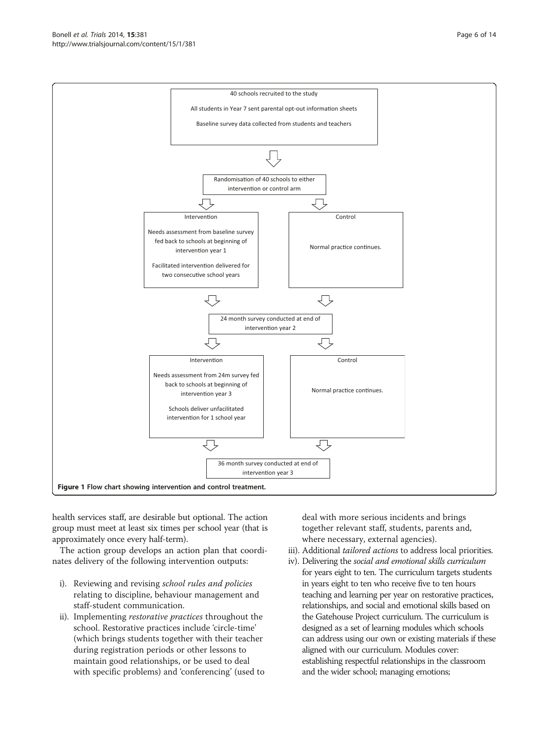<span id="page-5-0"></span>

health services staff, are desirable but optional. The action group must meet at least six times per school year (that is approximately once every half-term).

The action group develops an action plan that coordinates delivery of the following intervention outputs:

- i). Reviewing and revising *school rules and policies* relating to discipline, behaviour management and staff-student communication.
- ii). Implementing restorative practices throughout the school. Restorative practices include 'circle-time' (which brings students together with their teacher during registration periods or other lessons to maintain good relationships, or be used to deal with specific problems) and 'conferencing' (used to

deal with more serious incidents and brings together relevant staff, students, parents and, where necessary, external agencies).

- iii). Additional tailored actions to address local priorities.
- iv). Delivering the social and emotional skills curriculum for years eight to ten. The curriculum targets students in years eight to ten who receive five to ten hours teaching and learning per year on restorative practices, relationships, and social and emotional skills based on the Gatehouse Project curriculum. The curriculum is designed as a set of learning modules which schools can address using our own or existing materials if these aligned with our curriculum. Modules cover: establishing respectful relationships in the classroom and the wider school; managing emotions;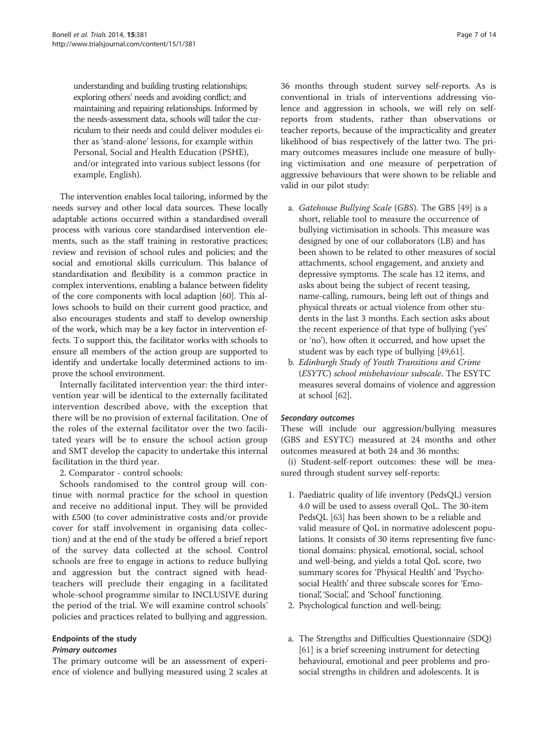understanding and building trusting relationships; exploring others' needs and avoiding conflict; and maintaining and repairing relationships. Informed by the needs-assessment data, schools will tailor the curriculum to their needs and could deliver modules either as 'stand-alone' lessons, for example within Personal, Social and Health Education (PSHE), and/or integrated into various subject lessons (for example, English).

The intervention enables local tailoring, informed by the needs survey and other local data sources. These locally adaptable actions occurred within a standardised overall process with various core standardised intervention elements, such as the staff training in restorative practices; review and revision of school rules and policies; and the social and emotional skills curriculum. This balance of standardisation and flexibility is a common practice in complex interventions, enabling a balance between fidelity of the core components with local adaption [\[60\]](#page-13-0). This allows schools to build on their current good practice, and also encourages students and staff to develop ownership of the work, which may be a key factor in intervention effects. To support this, the facilitator works with schools to ensure all members of the action group are supported to identify and undertake locally determined actions to improve the school environment.

Internally facilitated intervention year: the third intervention year will be identical to the externally facilitated intervention described above, with the exception that there will be no provision of external facilitation. One of the roles of the external facilitator over the two facilitated years will be to ensure the school action group and SMT develop the capacity to undertake this internal facilitation in the third year.

2. Comparator - control schools:

Schools randomised to the control group will continue with normal practice for the school in question and receive no additional input. They will be provided with £500 (to cover administrative costs and/or provide cover for staff involvement in organising data collection) and at the end of the study be offered a brief report of the survey data collected at the school. Control schools are free to engage in actions to reduce bullying and aggression but the contract signed with headteachers will preclude their engaging in a facilitated whole-school programme similar to INCLUSIVE during the period of the trial. We will examine control schools' policies and practices related to bullying and aggression.

# Endpoints of the study

# Primary outcomes

The primary outcome will be an assessment of experience of violence and bullying measured using 2 scales at 36 months through student survey self-reports. As is conventional in trials of interventions addressing violence and aggression in schools, we will rely on selfreports from students, rather than observations or teacher reports, because of the impracticality and greater likelihood of bias respectively of the latter two. The primary outcomes measures include one measure of bullying victimisation and one measure of perpetration of aggressive behaviours that were shown to be reliable and valid in our pilot study:

- a. Gatehouse Bullying Scale (GBS). The GBS [[49](#page-13-0)] is a short, reliable tool to measure the occurrence of bullying victimisation in schools. This measure was designed by one of our collaborators (LB) and has been shown to be related to other measures of social attachments, school engagement, and anxiety and depressive symptoms. The scale has 12 items, and asks about being the subject of recent teasing, name-calling, rumours, being left out of things and physical threats or actual violence from other students in the last 3 months. Each section asks about the recent experience of that type of bullying ('yes' or 'no'), how often it occurred, and how upset the student was by each type of bullying [[49,61](#page-13-0)].
- b. Edinburgh Study of Youth Transitions and Crime (ESYTC) school misbehaviour subscale. The ESYTC measures several domains of violence and aggression at school [[62](#page-13-0)].

# Secondary outcomes

These will include our aggression/bullying measures (GBS and ESYTC) measured at 24 months and other outcomes measured at both 24 and 36 months:

(i) Student-self-report outcomes: these will be measured through student survey self-reports:

- 1. Paediatric quality of life inventory (PedsQL) version 4.0 will be used to assess overall QoL. The 30-item PedsQL [[63](#page-13-0)] has been shown to be a reliable and valid measure of QoL in normative adolescent populations. It consists of 30 items representing five functional domains: physical, emotional, social, school and well-being, and yields a total QoL score, two summary scores for 'Physical Health' and 'Psychosocial Health' and three subscale scores for 'Emotional', 'Social', and 'School' functioning.
- 2. Psychological function and well-being;
- a. The Strengths and Difficulties Questionnaire (SDQ) [[61](#page-13-0)] is a brief screening instrument for detecting behavioural, emotional and peer problems and prosocial strengths in children and adolescents. It is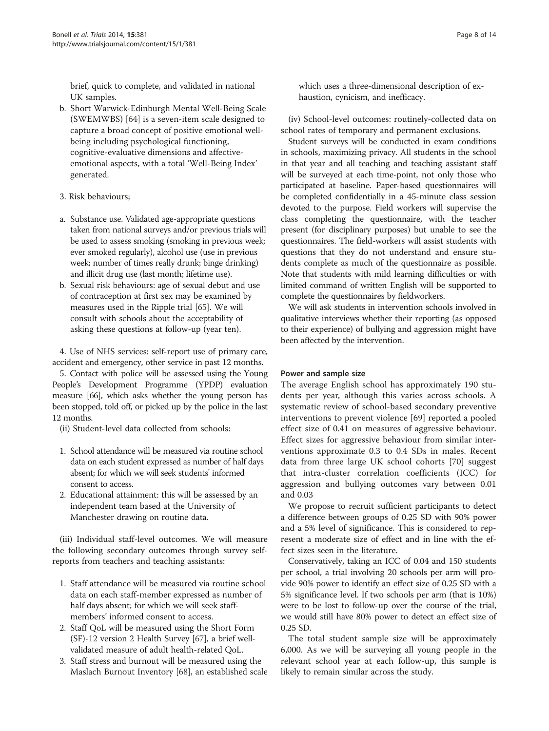brief, quick to complete, and validated in national UK samples.

- b. Short Warwick-Edinburgh Mental Well-Being Scale (SWEMWBS) [\[64](#page-13-0)] is a seven-item scale designed to capture a broad concept of positive emotional wellbeing including psychological functioning, cognitive-evaluative dimensions and affectiveemotional aspects, with a total 'Well-Being Index' generated.
- 3. Risk behaviours;
- a. Substance use. Validated age-appropriate questions taken from national surveys and/or previous trials will be used to assess smoking (smoking in previous week; ever smoked regularly), alcohol use (use in previous week; number of times really drunk; binge drinking) and illicit drug use (last month; lifetime use).
- b. Sexual risk behaviours: age of sexual debut and use of contraception at first sex may be examined by measures used in the Ripple trial [[65](#page-13-0)]. We will consult with schools about the acceptability of asking these questions at follow-up (year ten).

4. Use of NHS services: self-report use of primary care, accident and emergency, other service in past 12 months.

5. Contact with police will be assessed using the Young People's Development Programme (YPDP) evaluation measure [\[66\]](#page-13-0), which asks whether the young person has been stopped, told off, or picked up by the police in the last 12 months.

(ii) Student-level data collected from schools:

- 1. School attendance will be measured via routine school data on each student expressed as number of half days absent; for which we will seek students' informed consent to access.
- 2. Educational attainment: this will be assessed by an independent team based at the University of Manchester drawing on routine data.

(iii) Individual staff-level outcomes. We will measure the following secondary outcomes through survey selfreports from teachers and teaching assistants:

- 1. Staff attendance will be measured via routine school data on each staff-member expressed as number of half days absent; for which we will seek staffmembers' informed consent to access.
- 2. Staff QoL will be measured using the Short Form (SF)-12 version 2 Health Survey [[67](#page-13-0)], a brief wellvalidated measure of adult health-related QoL.
- 3. Staff stress and burnout will be measured using the Maslach Burnout Inventory [\[68\]](#page-13-0), an established scale

which uses a three-dimensional description of exhaustion, cynicism, and inefficacy.

(iv) School-level outcomes: routinely-collected data on school rates of temporary and permanent exclusions.

Student surveys will be conducted in exam conditions in schools, maximizing privacy. All students in the school in that year and all teaching and teaching assistant staff will be surveyed at each time-point, not only those who participated at baseline. Paper-based questionnaires will be completed confidentially in a 45-minute class session devoted to the purpose. Field workers will supervise the class completing the questionnaire, with the teacher present (for disciplinary purposes) but unable to see the questionnaires. The field-workers will assist students with questions that they do not understand and ensure students complete as much of the questionnaire as possible. Note that students with mild learning difficulties or with limited command of written English will be supported to complete the questionnaires by fieldworkers.

We will ask students in intervention schools involved in qualitative interviews whether their reporting (as opposed to their experience) of bullying and aggression might have been affected by the intervention.

# Power and sample size

The average English school has approximately 190 students per year, although this varies across schools. A systematic review of school-based secondary preventive interventions to prevent violence [[69\]](#page-13-0) reported a pooled effect size of 0.41 on measures of aggressive behaviour. Effect sizes for aggressive behaviour from similar interventions approximate 0.3 to 0.4 SDs in males. Recent data from three large UK school cohorts [\[70](#page-13-0)] suggest that intra-cluster correlation coefficients (ICC) for aggression and bullying outcomes vary between 0.01 and 0.03

We propose to recruit sufficient participants to detect a difference between groups of 0.25 SD with 90% power and a 5% level of significance. This is considered to represent a moderate size of effect and in line with the effect sizes seen in the literature.

Conservatively, taking an ICC of 0.04 and 150 students per school, a trial involving 20 schools per arm will provide 90% power to identify an effect size of 0.25 SD with a 5% significance level. If two schools per arm (that is 10%) were to be lost to follow-up over the course of the trial, we would still have 80% power to detect an effect size of 0.25 SD.

The total student sample size will be approximately 6,000. As we will be surveying all young people in the relevant school year at each follow-up, this sample is likely to remain similar across the study.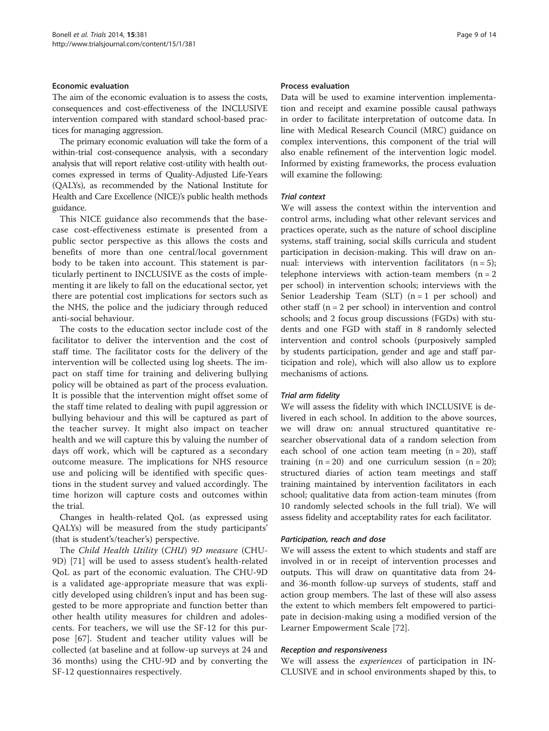#### Economic evaluation

The aim of the economic evaluation is to assess the costs, consequences and cost-effectiveness of the INCLUSIVE intervention compared with standard school-based practices for managing aggression.

The primary economic evaluation will take the form of a within-trial cost-consequence analysis, with a secondary analysis that will report relative cost-utility with health outcomes expressed in terms of Quality-Adjusted Life-Years (QALYs), as recommended by the National Institute for Health and Care Excellence (NICE)'s public health methods guidance.

This NICE guidance also recommends that the basecase cost-effectiveness estimate is presented from a public sector perspective as this allows the costs and benefits of more than one central/local government body to be taken into account. This statement is particularly pertinent to INCLUSIVE as the costs of implementing it are likely to fall on the educational sector, yet there are potential cost implications for sectors such as the NHS, the police and the judiciary through reduced anti-social behaviour.

The costs to the education sector include cost of the facilitator to deliver the intervention and the cost of staff time. The facilitator costs for the delivery of the intervention will be collected using log sheets. The impact on staff time for training and delivering bullying policy will be obtained as part of the process evaluation. It is possible that the intervention might offset some of the staff time related to dealing with pupil aggression or bullying behaviour and this will be captured as part of the teacher survey. It might also impact on teacher health and we will capture this by valuing the number of days off work, which will be captured as a secondary outcome measure. The implications for NHS resource use and policing will be identified with specific questions in the student survey and valued accordingly. The time horizon will capture costs and outcomes within the trial.

Changes in health-related QoL (as expressed using QALYs) will be measured from the study participants' (that is student's/teacher's) perspective.

The Child Health Utility (CHU) 9D measure (CHU-9D) [\[71](#page-13-0)] will be used to assess student's health-related QoL as part of the economic evaluation. The CHU-9D is a validated age-appropriate measure that was explicitly developed using children's input and has been suggested to be more appropriate and function better than other health utility measures for children and adolescents. For teachers, we will use the SF-12 for this purpose [\[67](#page-13-0)]. Student and teacher utility values will be collected (at baseline and at follow-up surveys at 24 and 36 months) using the CHU-9D and by converting the SF-12 questionnaires respectively.

#### Process evaluation

Data will be used to examine intervention implementation and receipt and examine possible causal pathways in order to facilitate interpretation of outcome data. In line with Medical Research Council (MRC) guidance on complex interventions, this component of the trial will also enable refinement of the intervention logic model. Informed by existing frameworks, the process evaluation will examine the following:

#### Trial context

We will assess the context within the intervention and control arms, including what other relevant services and practices operate, such as the nature of school discipline systems, staff training, social skills curricula and student participation in decision-making. This will draw on annual: interviews with intervention facilitators  $(n = 5)$ ; telephone interviews with action-team members  $(n = 2)$ per school) in intervention schools; interviews with the Senior Leadership Team (SLT)  $(n = 1$  per school) and other staff ( $n = 2$  per school) in intervention and control schools; and 2 focus group discussions (FGDs) with students and one FGD with staff in 8 randomly selected intervention and control schools (purposively sampled by students participation, gender and age and staff participation and role), which will also allow us to explore mechanisms of actions.

#### Trial arm fidelity

We will assess the fidelity with which INCLUSIVE is delivered in each school. In addition to the above sources, we will draw on: annual structured quantitative researcher observational data of a random selection from each school of one action team meeting  $(n = 20)$ , staff training  $(n = 20)$  and one curriculum session  $(n = 20)$ ; structured diaries of action team meetings and staff training maintained by intervention facilitators in each school; qualitative data from action-team minutes (from 10 randomly selected schools in the full trial). We will assess fidelity and acceptability rates for each facilitator.

#### Participation, reach and dose

We will assess the extent to which students and staff are involved in or in receipt of intervention processes and outputs. This will draw on quantitative data from 24 and 36-month follow-up surveys of students, staff and action group members. The last of these will also assess the extent to which members felt empowered to participate in decision-making using a modified version of the Learner Empowerment Scale [\[72](#page-13-0)].

#### Reception and responsiveness

We will assess the experiences of participation in IN-CLUSIVE and in school environments shaped by this, to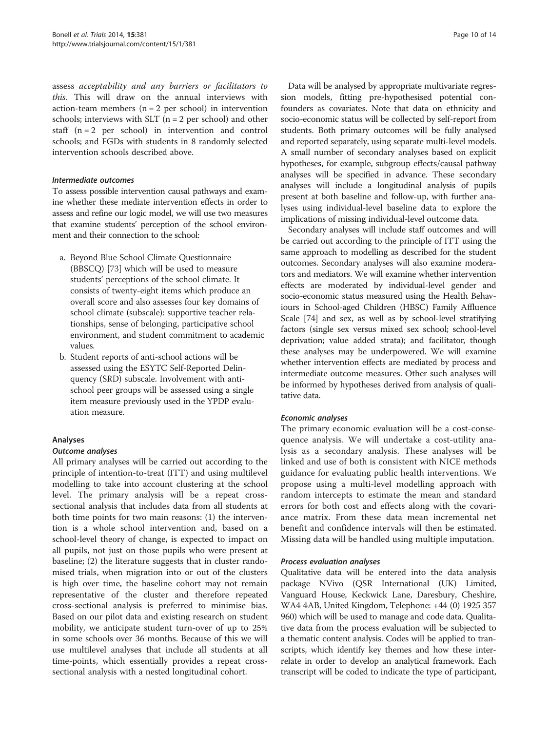assess acceptability and any barriers or facilitators to this. This will draw on the annual interviews with action-team members ( $n = 2$  per school) in intervention schools; interviews with SLT ( $n = 2$  per school) and other staff  $(n = 2$  per school) in intervention and control schools; and FGDs with students in 8 randomly selected intervention schools described above.

#### Intermediate outcomes

To assess possible intervention causal pathways and examine whether these mediate intervention effects in order to assess and refine our logic model, we will use two measures that examine students' perception of the school environment and their connection to the school:

- a. Beyond Blue School Climate Questionnaire (BBSCQ) [\[73\]](#page-13-0) which will be used to measure students' perceptions of the school climate. It consists of twenty-eight items which produce an overall score and also assesses four key domains of school climate (subscale): supportive teacher relationships, sense of belonging, participative school environment, and student commitment to academic values.
- b. Student reports of anti-school actions will be assessed using the ESYTC Self-Reported Delinquency (SRD) subscale. Involvement with antischool peer groups will be assessed using a single item measure previously used in the YPDP evaluation measure.

# Analyses

# Outcome analyses

All primary analyses will be carried out according to the principle of intention-to-treat (ITT) and using multilevel modelling to take into account clustering at the school level. The primary analysis will be a repeat crosssectional analysis that includes data from all students at both time points for two main reasons: (1) the intervention is a whole school intervention and, based on a school-level theory of change, is expected to impact on all pupils, not just on those pupils who were present at baseline; (2) the literature suggests that in cluster randomised trials, when migration into or out of the clusters is high over time, the baseline cohort may not remain representative of the cluster and therefore repeated cross-sectional analysis is preferred to minimise bias. Based on our pilot data and existing research on student mobility, we anticipate student turn-over of up to 25% in some schools over 36 months. Because of this we will use multilevel analyses that include all students at all time-points, which essentially provides a repeat crosssectional analysis with a nested longitudinal cohort.

Data will be analysed by appropriate multivariate regression models, fitting pre-hypothesised potential confounders as covariates. Note that data on ethnicity and socio-economic status will be collected by self-report from students. Both primary outcomes will be fully analysed and reported separately, using separate multi-level models. A small number of secondary analyses based on explicit hypotheses, for example, subgroup effects/causal pathway analyses will be specified in advance. These secondary analyses will include a longitudinal analysis of pupils present at both baseline and follow-up, with further analyses using individual-level baseline data to explore the implications of missing individual-level outcome data.

Secondary analyses will include staff outcomes and will be carried out according to the principle of ITT using the same approach to modelling as described for the student outcomes. Secondary analyses will also examine moderators and mediators. We will examine whether intervention effects are moderated by individual-level gender and socio-economic status measured using the Health Behaviours in School-aged Children (HBSC) Family Affluence Scale [[74](#page-13-0)] and sex, as well as by school-level stratifying factors (single sex versus mixed sex school; school-level deprivation; value added strata); and facilitator, though these analyses may be underpowered. We will examine whether intervention effects are mediated by process and intermediate outcome measures. Other such analyses will be informed by hypotheses derived from analysis of qualitative data.

# Economic analyses

The primary economic evaluation will be a cost-consequence analysis. We will undertake a cost-utility analysis as a secondary analysis. These analyses will be linked and use of both is consistent with NICE methods guidance for evaluating public health interventions. We propose using a multi-level modelling approach with random intercepts to estimate the mean and standard errors for both cost and effects along with the covariance matrix. From these data mean incremental net benefit and confidence intervals will then be estimated. Missing data will be handled using multiple imputation.

# Process evaluation analyses

Qualitative data will be entered into the data analysis package NVivo (QSR International (UK) Limited, Vanguard House, Keckwick Lane, Daresbury, Cheshire, WA4 4AB, United Kingdom, Telephone: +44 (0) 1925 357 960) which will be used to manage and code data. Qualitative data from the process evaluation will be subjected to a thematic content analysis. Codes will be applied to transcripts, which identify key themes and how these interrelate in order to develop an analytical framework. Each transcript will be coded to indicate the type of participant,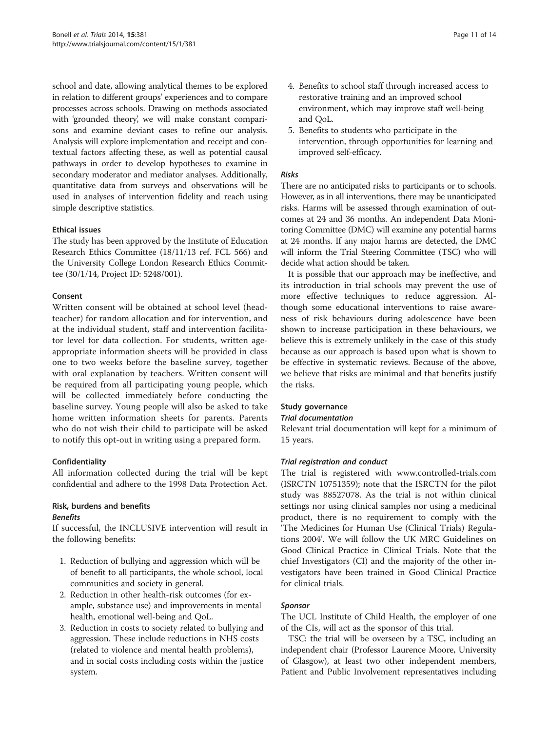school and date, allowing analytical themes to be explored in relation to different groups' experiences and to compare processes across schools. Drawing on methods associated with 'grounded theory', we will make constant comparisons and examine deviant cases to refine our analysis. Analysis will explore implementation and receipt and contextual factors affecting these, as well as potential causal pathways in order to develop hypotheses to examine in secondary moderator and mediator analyses. Additionally, quantitative data from surveys and observations will be used in analyses of intervention fidelity and reach using simple descriptive statistics.

# Ethical issues

The study has been approved by the Institute of Education Research Ethics Committee (18/11/13 ref. FCL 566) and the University College London Research Ethics Committee (30/1/14, Project ID: 5248/001).

# Consent

Written consent will be obtained at school level (headteacher) for random allocation and for intervention, and at the individual student, staff and intervention facilitator level for data collection. For students, written ageappropriate information sheets will be provided in class one to two weeks before the baseline survey, together with oral explanation by teachers. Written consent will be required from all participating young people, which will be collected immediately before conducting the baseline survey. Young people will also be asked to take home written information sheets for parents. Parents who do not wish their child to participate will be asked to notify this opt-out in writing using a prepared form.

# Confidentiality

All information collected during the trial will be kept confidential and adhere to the 1998 Data Protection Act.

# Risk, burdens and benefits

# Benefits

If successful, the INCLUSIVE intervention will result in the following benefits:

- 1. Reduction of bullying and aggression which will be of benefit to all participants, the whole school, local communities and society in general.
- 2. Reduction in other health-risk outcomes (for example, substance use) and improvements in mental health, emotional well-being and QoL.
- 3. Reduction in costs to society related to bullying and aggression. These include reductions in NHS costs (related to violence and mental health problems), and in social costs including costs within the justice system.
- 4. Benefits to school staff through increased access to restorative training and an improved school environment, which may improve staff well-being and QoL.
- 5. Benefits to students who participate in the intervention, through opportunities for learning and improved self-efficacy.

# Risks

There are no anticipated risks to participants or to schools. However, as in all interventions, there may be unanticipated risks. Harms will be assessed through examination of outcomes at 24 and 36 months. An independent Data Monitoring Committee (DMC) will examine any potential harms at 24 months. If any major harms are detected, the DMC will inform the Trial Steering Committee (TSC) who will decide what action should be taken.

It is possible that our approach may be ineffective, and its introduction in trial schools may prevent the use of more effective techniques to reduce aggression. Although some educational interventions to raise awareness of risk behaviours during adolescence have been shown to increase participation in these behaviours, we believe this is extremely unlikely in the case of this study because as our approach is based upon what is shown to be effective in systematic reviews. Because of the above, we believe that risks are minimal and that benefits justify the risks.

# Study governance

# Trial documentation

Relevant trial documentation will kept for a minimum of 15 years.

# Trial registration and conduct

The trial is registered with [www.controlled-trials.com](http://www.controlled-trials.com) (ISRCTN 10751359); note that the ISRCTN for the pilot study was 88527078. As the trial is not within clinical settings nor using clinical samples nor using a medicinal product, there is no requirement to comply with the 'The Medicines for Human Use (Clinical Trials) Regulations 2004'. We will follow the UK MRC Guidelines on Good Clinical Practice in Clinical Trials. Note that the chief Investigators (CI) and the majority of the other investigators have been trained in Good Clinical Practice for clinical trials.

# Sponsor

The UCL Institute of Child Health, the employer of one of the CIs, will act as the sponsor of this trial.

TSC: the trial will be overseen by a TSC, including an independent chair (Professor Laurence Moore, University of Glasgow), at least two other independent members, Patient and Public Involvement representatives including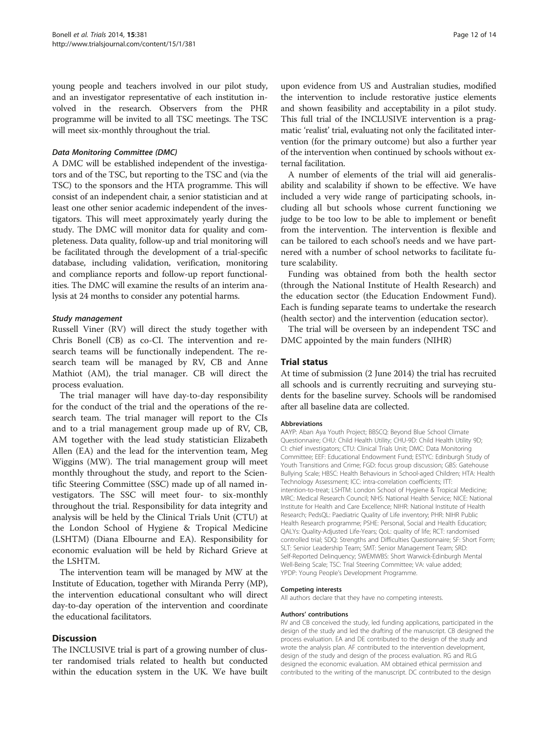young people and teachers involved in our pilot study, and an investigator representative of each institution involved in the research. Observers from the PHR programme will be invited to all TSC meetings. The TSC will meet six-monthly throughout the trial.

# Data Monitoring Committee (DMC)

A DMC will be established independent of the investigators and of the TSC, but reporting to the TSC and (via the TSC) to the sponsors and the HTA programme. This will consist of an independent chair, a senior statistician and at least one other senior academic independent of the investigators. This will meet approximately yearly during the study. The DMC will monitor data for quality and completeness. Data quality, follow-up and trial monitoring will be facilitated through the development of a trial-specific database, including validation, verification, monitoring and compliance reports and follow-up report functionalities. The DMC will examine the results of an interim analysis at 24 months to consider any potential harms.

#### Study management

Russell Viner (RV) will direct the study together with Chris Bonell (CB) as co-CI. The intervention and research teams will be functionally independent. The research team will be managed by RV, CB and Anne Mathiot (AM), the trial manager. CB will direct the process evaluation.

The trial manager will have day-to-day responsibility for the conduct of the trial and the operations of the research team. The trial manager will report to the CIs and to a trial management group made up of RV, CB, AM together with the lead study statistician Elizabeth Allen (EA) and the lead for the intervention team, Meg Wiggins (MW). The trial management group will meet monthly throughout the study, and report to the Scientific Steering Committee (SSC) made up of all named investigators. The SSC will meet four- to six-monthly throughout the trial. Responsibility for data integrity and analysis will be held by the Clinical Trials Unit (CTU) at the London School of Hygiene & Tropical Medicine (LSHTM) (Diana Elbourne and EA). Responsibility for economic evaluation will be held by Richard Grieve at the LSHTM.

The intervention team will be managed by MW at the Institute of Education, together with Miranda Perry (MP), the intervention educational consultant who will direct day-to-day operation of the intervention and coordinate the educational facilitators.

# **Discussion**

The INCLUSIVE trial is part of a growing number of cluster randomised trials related to health but conducted within the education system in the UK. We have built upon evidence from US and Australian studies, modified the intervention to include restorative justice elements and shown feasibility and acceptability in a pilot study. This full trial of the INCLUSIVE intervention is a pragmatic 'realist' trial, evaluating not only the facilitated intervention (for the primary outcome) but also a further year of the intervention when continued by schools without external facilitation.

A number of elements of the trial will aid generalisability and scalability if shown to be effective. We have included a very wide range of participating schools, including all but schools whose current functioning we judge to be too low to be able to implement or benefit from the intervention. The intervention is flexible and can be tailored to each school's needs and we have partnered with a number of school networks to facilitate future scalability.

Funding was obtained from both the health sector (through the National Institute of Health Research) and the education sector (the Education Endowment Fund). Each is funding separate teams to undertake the research (health sector) and the intervention (education sector).

The trial will be overseen by an independent TSC and DMC appointed by the main funders (NIHR)

# Trial status

At time of submission (2 June 2014) the trial has recruited all schools and is currently recruiting and surveying students for the baseline survey. Schools will be randomised after all baseline data are collected.

#### Abbreviations

AAYP: Aban Aya Youth Project; BBSCQ: Beyond Blue School Climate Questionnaire; CHU: Child Health Utility; CHU-9D: Child Health Utility 9D; CI: chief investigators; CTU: Clinical Trials Unit; DMC: Data Monitoring Committee; EEF: Educational Endowment Fund; ESTYC: Edinburgh Study of Youth Transitions and Crime; FGD: focus group discussion; GBS: Gatehouse Bullying Scale; HBSC: Health Behaviours in School-aged Children; HTA: Health Technology Assessment; ICC: intra-correlation coefficients; ITT: intention-to-treat; LSHTM: London School of Hygiene & Tropical Medicine; MRC: Medical Research Council; NHS: National Health Service; NICE: National Institute for Health and Care Excellence; NIHR: National Institute of Health Research; PedsQL: Paediatric Quality of Life inventory; PHR: NIHR Public Health Research programme; PSHE: Personal, Social and Health Education; QALYs: Quality-Adjusted Life-Years; QoL: quality of life; RCT: randomised controlled trial; SDQ: Strengths and Difficulties Questionnaire; SF: Short Form; SLT: Senior Leadership Team; SMT: Senior Management Team; SRD: Self-Reported Delinquency; SWEMWBS: Short Warwick-Edinburgh Mental Well-Being Scale; TSC: Trial Steering Committee; VA: value added; YPDP: Young People's Development Programme.

#### Competing interests

All authors declare that they have no competing interests.

#### Authors' contributions

RV and CB conceived the study, led funding applications, participated in the design of the study and led the drafting of the manuscript. CB designed the process evaluation. EA and DE contributed to the design of the study and wrote the analysis plan. AF contributed to the intervention development, design of the study and design of the process evaluation. RG and RLG designed the economic evaluation. AM obtained ethical permission and contributed to the writing of the manuscript. DC contributed to the design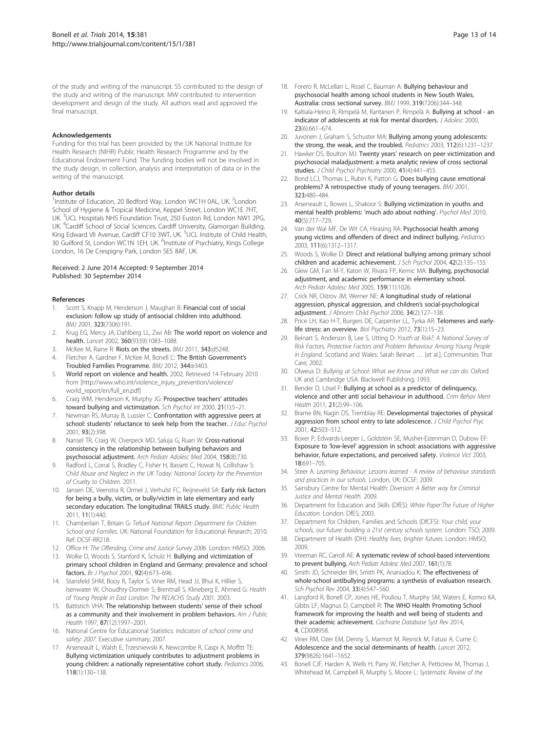<span id="page-12-0"></span>of the study and writing of the manuscript. SS contributed to the design of the study and writing of the manuscript. MW contributed to intervention development and design of the study. All authors read and approved the final manuscript.

#### Acknowledgements

Funding for this trial has been provided by the UK National Institute for Health Research (NIHR) Public Health Research Programme and by the Educational Endowment Fund. The funding bodies will not be involved in the study design, in collection, analysis and interpretation of data or in the writing of the manuscript.

#### Author details

<sup>1</sup> Institute of Education, 20 Bedford Way, London WC1H 0AL, UK. <sup>2</sup> London School of Hygiene & Tropical Medicine, Keppel Street, London WC1E 7HT, UK. <sup>3</sup>UCL Hospitals NHS Foundation Trust, 250 Euston Rd, London NW1 2PG, UK. <sup>4</sup>Cardiff School of Social Sciences, Cardiff University, Glamorgan Building, King Edward VII Avenue, Cardiff CF10 3WT, UK. <sup>5</sup>UCL Institute of Child Health, 30 Guilford St, London WC1N 1EH, UK. <sup>6</sup>Institute of Psychiatry, Kings College London, 16 De Crespigny Park, London SE5 8AF, UK.

#### Received: 2 June 2014 Accepted: 9 September 2014 Published: 30 September 2014

#### References

- 1. Scott S, Knapp M, Henderson J, Maughan B: Financial cost of social exclusion: follow up study of antisocial children into adulthood. BMJ 2001, 323(7306):191.
- 2. Krug EG, Mercy JA, Dahlberg LL, Zwi AB: The world report on violence and health. Lancet 2002, 360(9339):1083–1088.
- 3. McKee M, Raine R: Riots on the streets. BMJ 2011, 343:d5248.
- 4. Fletcher A, Gardner F, McKee M, Bonell C: The British Government's
- Troubled Families Programme. BMJ 2012, 344:e3403. 5. World report on violence and health. 2002, Retrieved 14 February 2010
- from [\[http://www.who.int/violence\\_injury\\_prevention/violence/](http://www.who.int/violence_injury_prevention/violence/world_report/en/full_en.pdf) [world\\_report/en/full\\_en.pdf](http://www.who.int/violence_injury_prevention/violence/world_report/en/full_en.pdf)]
- 6. Craig WM, Henderson K, Murphy JG: Prospective teachers' attitudes toward bullying and victimization. Sch Psychol Int 2000, 21(1):5–21.
- 7. Newman RS, Murray B, Lussier C: Confrontation with aggressive peers at school: students' reluctance to seek help from the teacher. J Educ Psychol 2001, 93(2):398.
- 8. Nansel TR, Craig W, Overpeck MD, Saluja G, Ruan W: Cross-national consistency in the relationship between bullying behaviors and psychosocial adjustment. Arch Pediatr Adolesc Med 2004, 158(8):730.
- Radford L, Corral S, Bradley C, Fisher H, Bassett C, Howat N, Collishaw S: Child Abuse and Neglect in the UK Today: National Society for the Prevention of Cruelty to Children. 2011.
- 10. Jansen DE, Veenstra R, Ormel J, Verhulst FC, Reijneveld SA: Early risk factors for being a bully, victim, or bully/victim in late elementary and early secondary education. The longitudinal TRAILS study. BMC Public Health 2011, 11(1):440.
- 11. Chamberlain T, Britain G: Tellus4 National Report: Department for Children School and Families. UK: National Foundation for Educational Research; 2010. Ref: DCSF-RR218.
- 12. Office H: The Offending, Crime and Justice Survey 2006. London: HMSO; 2006.
- 13. Wolke D, Woods S, Stanford K, Schulz H: Bullying and victimization of primary school children in England and Germany: prevalence and school factors. Br J Psychol 2001, 92(4):673–696.
- 14. Stansfeld SHM, Booy R, Taylor S, Viner RM, Head JJ, Bhui K, Hillier S, Isenwater W, Choudhry-Dormer S, Brentnall S, Klineberg E, Ahmed G: Health of Young People in East London: The RELACHS Study 2001. 2003.
- 15. Battistich VHA: The relationship between students' sense of their school as a community and their involvement in problem behaviors. Am J Public Health 1997, 87(12):1997–2001.
- 16. National Centre for Educational Statistics: Indicators of school crime and safety: 2007. Executive summary; 2007.
- 17. Arseneault L, Walsh E, Trzesniewski K, Newcombe R, Caspi A, Moffitt TE: Bullying victimization uniquely contributes to adjustment problems in young children: a nationally representative cohort study. Pediatrics 2006, 118(1):130–138.
- 18. Forero R, McLellan L, Rissel C, Bauman A: Bullying behaviour and psychosocial health among school students in New South Wales, Australia: cross sectional survey. BMJ 1999, 319(7206):344–348.
- 19. Kaltiala-Heino R, Rimpelä M, Rantanen P, Rimpelä A: Bullying at school an indicator of adolescents at risk for mental disorders. J Adolesc 2000, 23(6):661–674.
- 20. Juvonen J, Graham S, Schuster MA: Bullying among young adolescents: the strong, the weak, and the troubled. Pediatrics 2003, 112(6):1231–1237.
- 21. Hawker DS, Boulton MJ: Twenty years' research on peer victimization and psychosocial maladjustment: a meta analytic review of cross sectional studies. J Child Psychol Psychiatry 2000, 41(4):441-455.
- 22. Bond LCJ, Thomas L, Rubin K, Patton G: Does bullying cause emotional problems? A retrospective study of young teenagers. BMJ 2001, .<br>**323·**480–484
- 23. Arseneault L, Bowes L, Shakoor S: Bullying victimization in youths and mental health problems: 'much ado about nothing'. Psychol Med 2010, 40(5):717–729.
- 24. Van der Wal MF, De Wit CA, Hirasing RA: Psychosocial health among young victims and offenders of direct and indirect bullying. Pediatrics 2003, 111(6):1312–1317.
- 25. Woods S, Wolke D: Direct and relational bullying among primary school children and academic achievement. J Sch Psychol 2004, 42(2):135-155.
- 26. Glew GM, Fan M-Y, Katon W, Rivara FP, Kernic MA: Bullying, psychosocial adjustment, and academic performance in elementary school. Arch Pediatr Adolesc Med 2005, 159(11):1026.
- 27. Crick NR, Ostrov JM, Werner NE: A longitudinal study of relational aggression, physical aggression, and children's social-psychological adjustment. J Abnorm Child Psychol 2006, 34(2):127–138.
- Price LH, Kao H-T, Burgers DE, Carpenter LL, Tyrka AR: Telomeres and earlylife stress: an overview. Biol Psychiatry 2012, 73(1):15–23.
- 29. Beinart S, Anderson B, Lee S, Utting D: Youth at Risk?: A National Survey of Risk Factors, Protective Factors and Problem Behaviour Among Young People in England. Scotland and Wales: Sarah Beinart … [et al.], Communities That Care; 2002.
- 30. Olweus D: Bullying at School: What we Know and What we can do. Oxford UK and Cambridge USA: Blackwell Publishing; 1993.
- 31. Bender D, Lösel F: Bullying at school as a predictor of delinquency, violence and other anti social behaviour in adulthood. Crim Behav Ment Health 2011, 21(2):99–106.
- 32. Brame BN, Nagin DS, Tremblay RE: Developmental trajectories of physical aggression from school entry to late adolescence. J Child Psychol Psyc 2001, 42:503–512.
- 33. Boxer P, Edwards-Leeper L, Goldstein SE, Musher-Eizenman D, Dubow EF: Exposure to 'low-level' aggression in school: associations with aggressive behavior, future expectations, and perceived safety. Violence Vict 2003, 18:691–705.
- 34. Steer A: Learning Behaviour: Lessons learned A review of behaviour standards and practices in our schools. London, UK: DCSF; 2009.
- 35. Sainsbury Centre for Mental Health: Diversion: A Better way for Criminal Justice and Mental Health. 2009.
- 36. Department for Education and Skills (DfES): White Paper:The Future of Higher Education. London: DfES; 2003.
- 37. Department for Children, Families and Schools (DfCFS): Your child, your schools, our future: building a 21st century schools system. London: TSO; 2009.
- 38. Department of Health (DH): Healthy lives, brighter futures. London: HMSO; 2009.
- 39. Vreeman RC, Carroll AE: A systematic review of school-based interventions to prevent bullying. Arch Pediatr Adolesc Med 2007, 161(1):78.
- 40. Smith JD, Schneider BH, Smith PK, Ananiadou K: The effectiveness of whole-school antibullying programs: a synthesis of evaluation research. Sch Psychol Rev 2004, 33(4):547–560.
- 41. Langford R, Bonell CP, Jones HE, Pouliou T, Murphy SM, Waters E, Komro KA, Gibbs LF, Magnus D, Campbell R: The WHO Health Promoting School framework for improving the health and well being of students and their academic achievement. Cochrane Database Syst Rev 2014, 4, CD008958.
- 42. Viner RM, Ozer EM, Denny S, Marmot M, Resnick M, Fatusi A, Currie C: Adolescence and the social determinants of health. Lancet 2012, 379(9826):1641–1652.
- 43. Bonell CJF, Harden A, Wells H, Parry W, Fletcher A, Petticrew M, Thomas J, Whitehead M, Campbell R, Murphy S, Moore L: Systematic Review of the